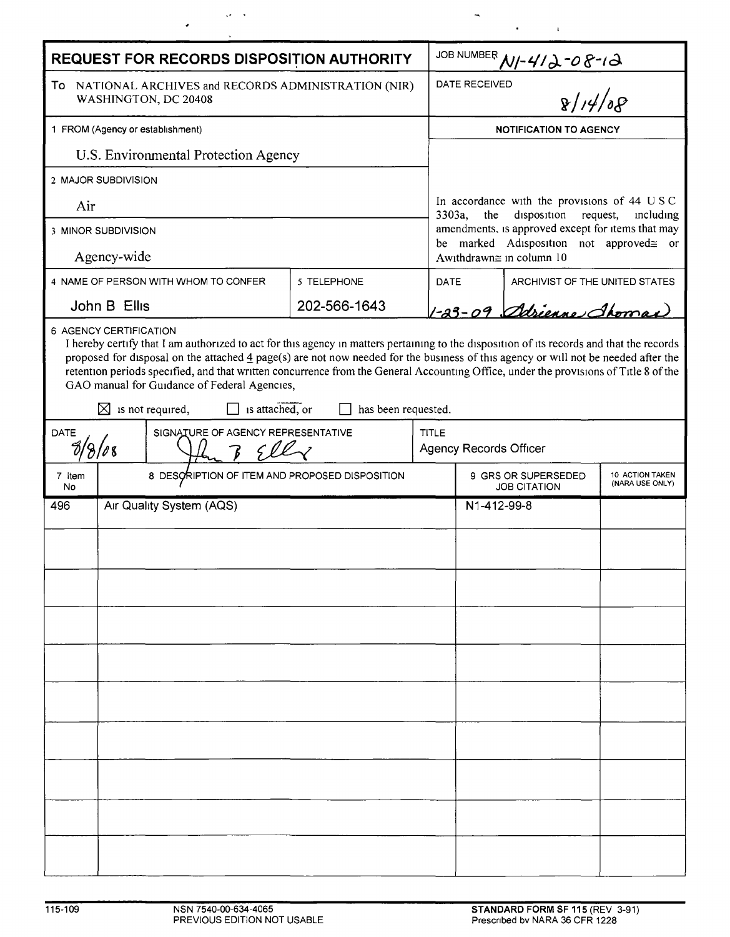| REQUEST FOR RECORDS DISPOSITION AUTHORITY                                     |                                    |                                                                                                                                                                                                                                                                                                                                                                                                                                                                                                                                        |                     |             |                                                                                                                                                                                                                               |                                |  |  |
|-------------------------------------------------------------------------------|------------------------------------|----------------------------------------------------------------------------------------------------------------------------------------------------------------------------------------------------------------------------------------------------------------------------------------------------------------------------------------------------------------------------------------------------------------------------------------------------------------------------------------------------------------------------------------|---------------------|-------------|-------------------------------------------------------------------------------------------------------------------------------------------------------------------------------------------------------------------------------|--------------------------------|--|--|
| To NATIONAL ARCHIVES and RECORDS ADMINISTRATION (NIR)<br>WASHINGTON, DC 20408 |                                    |                                                                                                                                                                                                                                                                                                                                                                                                                                                                                                                                        |                     |             | JOB NUMBER $M$ -412-08-12<br>DATE RECEIVED<br>$\sqrt{14/8}$                                                                                                                                                                   |                                |  |  |
| 1 FROM (Agency or establishment)                                              |                                    |                                                                                                                                                                                                                                                                                                                                                                                                                                                                                                                                        |                     |             | <b>NOTIFICATION TO AGENCY</b>                                                                                                                                                                                                 |                                |  |  |
| U.S. Environmental Protection Agency                                          |                                    |                                                                                                                                                                                                                                                                                                                                                                                                                                                                                                                                        |                     |             |                                                                                                                                                                                                                               |                                |  |  |
| 2 MAJOR SUBDIVISION                                                           |                                    |                                                                                                                                                                                                                                                                                                                                                                                                                                                                                                                                        |                     |             |                                                                                                                                                                                                                               |                                |  |  |
| Air                                                                           |                                    |                                                                                                                                                                                                                                                                                                                                                                                                                                                                                                                                        |                     |             | In accordance with the provisions of 44 USC<br>3303a,<br>the<br>disposition request,<br>including<br>amendments, is approved except for items that may<br>be marked Adisposition not approved gor<br>Awithdrawn≅ in column 10 |                                |  |  |
| 3 MINOR SUBDIVISION                                                           |                                    |                                                                                                                                                                                                                                                                                                                                                                                                                                                                                                                                        |                     |             |                                                                                                                                                                                                                               |                                |  |  |
| Agency-wide                                                                   |                                    |                                                                                                                                                                                                                                                                                                                                                                                                                                                                                                                                        |                     |             |                                                                                                                                                                                                                               |                                |  |  |
| 4 NAME OF PERSON WITH WHOM TO CONFER                                          |                                    |                                                                                                                                                                                                                                                                                                                                                                                                                                                                                                                                        | 5 TELEPHONE         | <b>DATE</b> |                                                                                                                                                                                                                               | ARCHIVIST OF THE UNITED STATES |  |  |
| John B Ellis                                                                  |                                    |                                                                                                                                                                                                                                                                                                                                                                                                                                                                                                                                        | 202-566-1643        |             | 1-23-09 Adrienne Thomas                                                                                                                                                                                                       |                                |  |  |
|                                                                               | 6 AGENCY CERTIFICATION             | I hereby certify that I am authorized to act for this agency in matters pertaining to the disposition of its records and that the records<br>proposed for disposal on the attached $\frac{4}{3}$ page(s) are not now needed for the business of this agency or will not be needed after the<br>retention periods specified, and that written concurrence from the General Accounting Office, under the provisions of Title 8 of the<br>GAO manual for Guidance of Federal Agencies,<br>is attached, or<br>$\boxtimes$ is not required, | has been requested. |             |                                                                                                                                                                                                                               |                                |  |  |
| <b>DATE</b>                                                                   | SIGNATURE OF AGENCY REPRESENTATIVE |                                                                                                                                                                                                                                                                                                                                                                                                                                                                                                                                        |                     |             | <b>TITLE</b><br><b>Agency Records Officer</b>                                                                                                                                                                                 |                                |  |  |
| 7 Item<br>No                                                                  |                                    | 8 DESCRIPTION OF ITEM AND PROPOSED DISPOSITION                                                                                                                                                                                                                                                                                                                                                                                                                                                                                         |                     |             | 9 GRS OR SUPERSEDED<br>10 ACTION TAKEN<br>(NARA USE ONLY)<br><b>JOB CITATION</b>                                                                                                                                              |                                |  |  |
| 496                                                                           | Air Quality System (AQS)           |                                                                                                                                                                                                                                                                                                                                                                                                                                                                                                                                        |                     |             | N1-412-99-8                                                                                                                                                                                                                   |                                |  |  |
|                                                                               |                                    |                                                                                                                                                                                                                                                                                                                                                                                                                                                                                                                                        |                     |             |                                                                                                                                                                                                                               |                                |  |  |
|                                                                               |                                    |                                                                                                                                                                                                                                                                                                                                                                                                                                                                                                                                        |                     |             |                                                                                                                                                                                                                               |                                |  |  |
|                                                                               |                                    |                                                                                                                                                                                                                                                                                                                                                                                                                                                                                                                                        |                     |             |                                                                                                                                                                                                                               |                                |  |  |
|                                                                               |                                    |                                                                                                                                                                                                                                                                                                                                                                                                                                                                                                                                        |                     |             |                                                                                                                                                                                                                               |                                |  |  |
|                                                                               |                                    |                                                                                                                                                                                                                                                                                                                                                                                                                                                                                                                                        |                     |             |                                                                                                                                                                                                                               |                                |  |  |
|                                                                               |                                    |                                                                                                                                                                                                                                                                                                                                                                                                                                                                                                                                        |                     |             |                                                                                                                                                                                                                               |                                |  |  |
|                                                                               |                                    |                                                                                                                                                                                                                                                                                                                                                                                                                                                                                                                                        |                     |             |                                                                                                                                                                                                                               |                                |  |  |
|                                                                               |                                    |                                                                                                                                                                                                                                                                                                                                                                                                                                                                                                                                        |                     |             |                                                                                                                                                                                                                               |                                |  |  |
|                                                                               |                                    |                                                                                                                                                                                                                                                                                                                                                                                                                                                                                                                                        |                     |             |                                                                                                                                                                                                                               |                                |  |  |
|                                                                               |                                    |                                                                                                                                                                                                                                                                                                                                                                                                                                                                                                                                        |                     |             |                                                                                                                                                                                                                               |                                |  |  |
|                                                                               |                                    |                                                                                                                                                                                                                                                                                                                                                                                                                                                                                                                                        |                     |             |                                                                                                                                                                                                                               |                                |  |  |
|                                                                               |                                    |                                                                                                                                                                                                                                                                                                                                                                                                                                                                                                                                        |                     |             |                                                                                                                                                                                                                               |                                |  |  |
|                                                                               |                                    |                                                                                                                                                                                                                                                                                                                                                                                                                                                                                                                                        |                     |             |                                                                                                                                                                                                                               |                                |  |  |
|                                                                               |                                    |                                                                                                                                                                                                                                                                                                                                                                                                                                                                                                                                        |                     |             |                                                                                                                                                                                                                               |                                |  |  |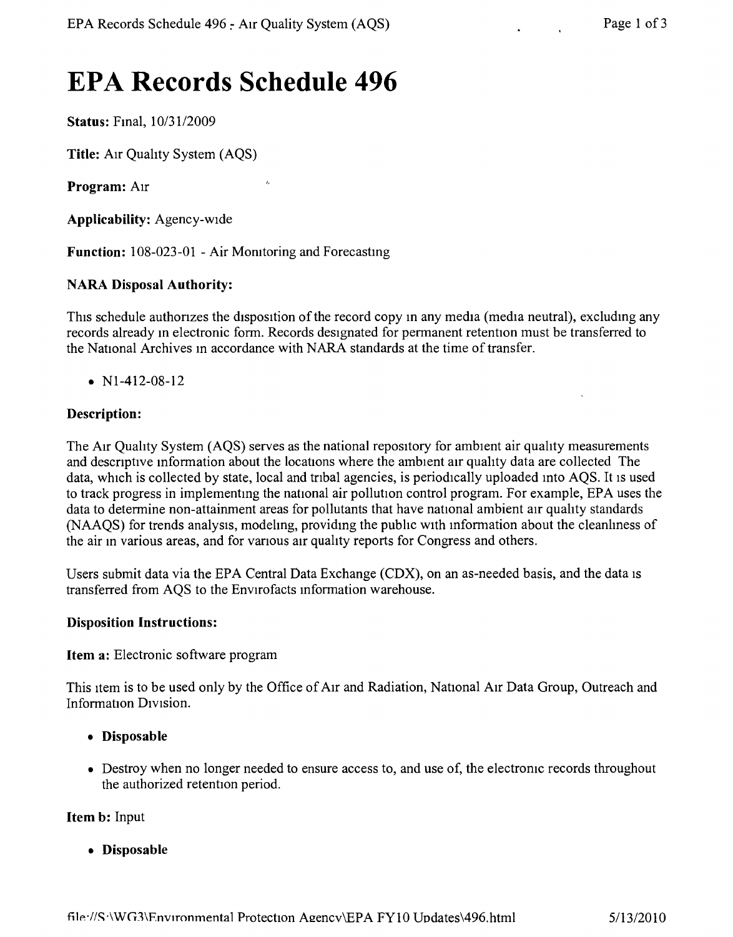# **EPA Records Schedule 496**

**Status:** Fmal, *10/31/2009*

**Title:** AIr Quahty System (AQS)

**Program:** AIr

**Applicability:** Agency-wide

**Function:** 108-023-01 - Air Monitoring and Forecasting

 $\overline{L}$ 

#### **NARA Disposal Authority:**

This schedule authorizes the disposition of the record copy in any media (media neutral), excluding any records already m electronic form. Records designated for permanent retention must be transferred to the National Archives m accordance with NARA standards at the time of transfer.

•  $N1-412-08-12$ 

#### **Description:**

The AIr Quahty System (AQS) serves as the national repository for ambient air quahty measurements and descnptive mformation about the locations where the ambient air quality data are collected The data, which is collected by state, local and tribal agencies, is periodically uploaded into AQS. It is used to track progress in implementmg the national air pollution control program. For example, EPA uses the data to determine non-attainment areas for pollutants that have national ambient air quality standards (NAAQS) for trends analysis, modelmg, providmg the pubhc with mformation about the cleanlmess of the air m various areas, and for vanous air quahty reports for Congress and others.

Users submit data via the EPA Central Data Exchange (CDX), on an as-needed basis, and the data IS transferred from AQS to the Envirofacts mformation warehouse.

#### **Disposition Instructions:**

**Item a:** Electronic software program

This Item is to be used only by the Office of AIr and Radiation, National AIr Data Group, Outreach and Information DIVIsion.

- **• Disposable**
- Destroy when no longer needed to ensure access to, and use of, the electronic records throughout the authorized retention period.

**Item b:** Input

**• Disposable**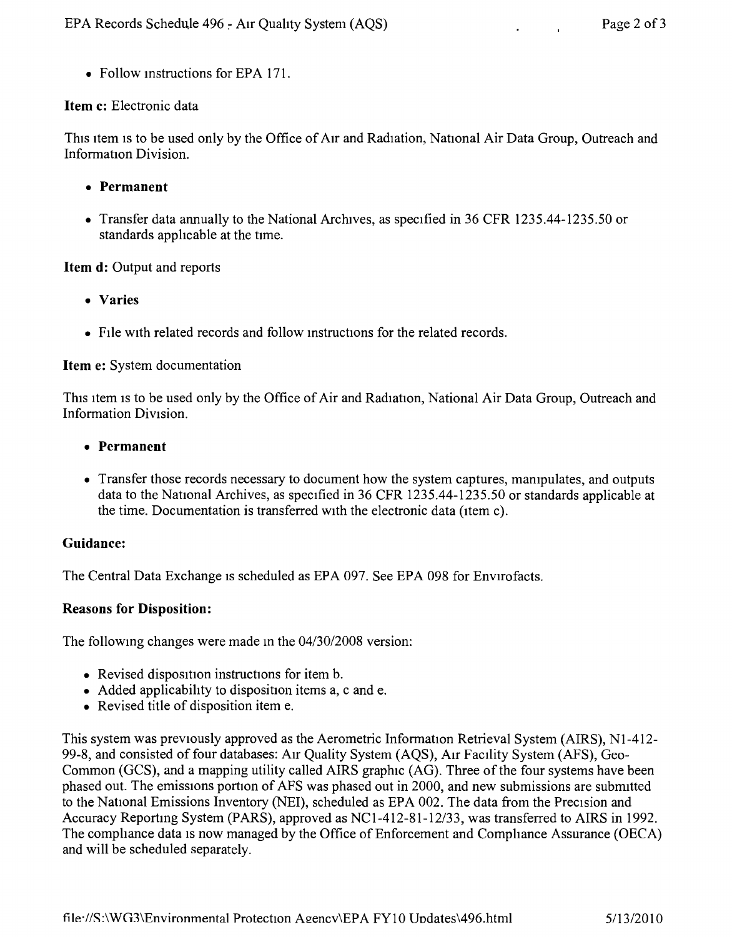• Follow instructions for EPA 171.

# **Item c:** Electronic data

This item is to be used only by the Office of Air and Radiation, National Air Data Group, Outreach and Information Division.

- **• Permanent**
- Transfer data annually to the National Archives, as specified in 36 CFR 1235.44-1235.50 or standards applicable at the time,

# **Item d:** Output and reports

- **• Varies**
- File with related records and follow instructions for the related records.

### **Item e:** System documentation

This item is to be used only by the Office of Air and Radiation, National Air Data Group, Outreach and Information Division,

- **• Permanent**
- Transfer those records necessary to document how the system captures, manipulates, and outputs data to the National Archives, as specified in 36 CFR 1235.44-1235.50 or standards applicable at the time. Documentation is transferred with the electronic data (item c).

### **Guidance:**

The Central Data Exchange is scheduled as EPA 097. See EPA 098 for Envirofacts.

### **Reasons for Disposition:**

The following changes were made in the  $04/30/2008$  version:

- Revised disposition instructions for item b.
- Added applicability to disposition items a, c and e.
- Revised title of disposition item e.

This system was previously approved as the Aerometric Information Retrieval System (AIRS), NI-412- 99-8, and consisted of four databases: AIr Quality System (AQS), AIr Facility System (AFS), Geo-Common (GCS), and a mapping utility called AIRS graphic (AG). Three of the four systems have been phased out. The emissions portion of AFS was phased out in 2000, and new submissions are submitted to the National Emissions Inventory (NEI), scheduled as EPA 002. The data from the Precision and Accuracy Reportmg System (PARS), approved as *NCI-412-81-12/33,* was transferred to AIRS in 1992. The compliance data is now managed by the Office of Enforcement and Compliance Assurance (OECA) and will be scheduled separately.